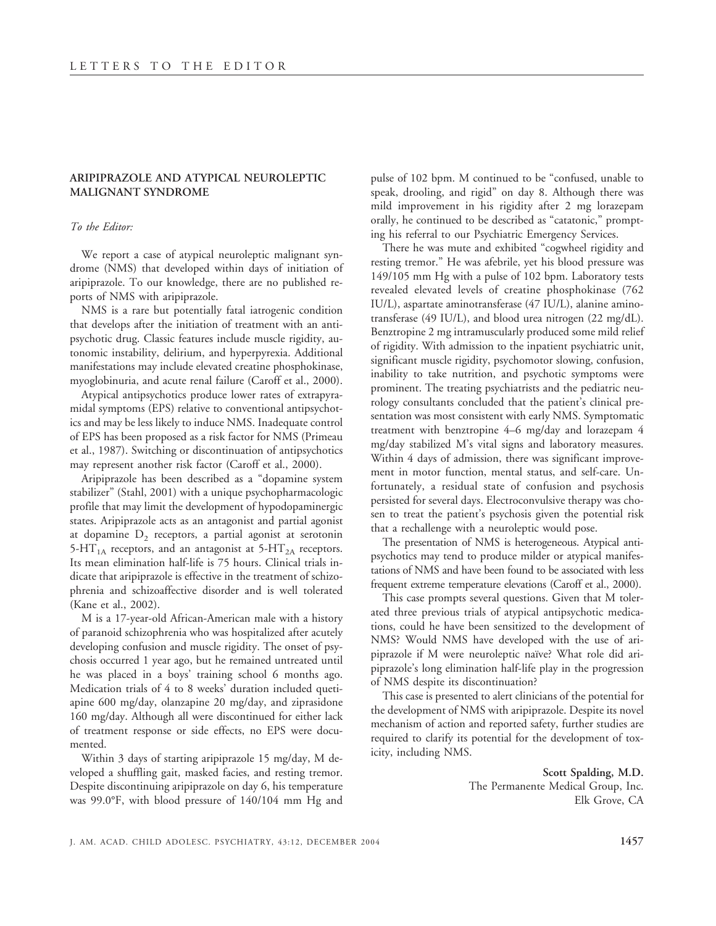## **ARIPIPRAZOLE AND ATYPICAL NEUROLEPTIC MALIGNANT SYNDROME**

## *To the Editor:*

We report a case of atypical neuroleptic malignant syndrome (NMS) that developed within days of initiation of aripiprazole. To our knowledge, there are no published reports of NMS with aripiprazole.

NMS is a rare but potentially fatal iatrogenic condition that develops after the initiation of treatment with an antipsychotic drug. Classic features include muscle rigidity, autonomic instability, delirium, and hyperpyrexia. Additional manifestations may include elevated creatine phosphokinase, myoglobinuria, and acute renal failure (Caroff et al., 2000).

Atypical antipsychotics produce lower rates of extrapyramidal symptoms (EPS) relative to conventional antipsychotics and may be less likely to induce NMS. Inadequate control of EPS has been proposed as a risk factor for NMS (Primeau et al., 1987). Switching or discontinuation of antipsychotics may represent another risk factor (Caroff et al., 2000).

Aripiprazole has been described as a "dopamine system stabilizer" (Stahl, 2001) with a unique psychopharmacologic profile that may limit the development of hypodopaminergic states. Aripiprazole acts as an antagonist and partial agonist at dopamine  $D_2$  receptors, a partial agonist at serotonin 5-HT<sub>1A</sub> receptors, and an antagonist at 5-HT<sub>2A</sub> receptors. Its mean elimination half-life is 75 hours. Clinical trials indicate that aripiprazole is effective in the treatment of schizophrenia and schizoaffective disorder and is well tolerated (Kane et al., 2002).

M is a 17-year-old African-American male with a history of paranoid schizophrenia who was hospitalized after acutely developing confusion and muscle rigidity. The onset of psychosis occurred 1 year ago, but he remained untreated until he was placed in a boys' training school 6 months ago. Medication trials of 4 to 8 weeks' duration included quetiapine 600 mg/day, olanzapine 20 mg/day, and ziprasidone 160 mg/day. Although all were discontinued for either lack of treatment response or side effects, no EPS were documented.

Within 3 days of starting aripiprazole 15 mg/day, M developed a shuffling gait, masked facies, and resting tremor. Despite discontinuing aripiprazole on day 6, his temperature was 99.0°F, with blood pressure of 140/104 mm Hg and

pulse of 102 bpm. M continued to be "confused, unable to speak, drooling, and rigid" on day 8. Although there was mild improvement in his rigidity after 2 mg lorazepam orally, he continued to be described as "catatonic," prompting his referral to our Psychiatric Emergency Services.

There he was mute and exhibited "cogwheel rigidity and resting tremor." He was afebrile, yet his blood pressure was 149/105 mm Hg with a pulse of 102 bpm. Laboratory tests revealed elevated levels of creatine phosphokinase (762 IU/L), aspartate aminotransferase (47 IU/L), alanine aminotransferase (49 IU/L), and blood urea nitrogen (22 mg/dL). Benztropine 2 mg intramuscularly produced some mild relief of rigidity. With admission to the inpatient psychiatric unit, significant muscle rigidity, psychomotor slowing, confusion, inability to take nutrition, and psychotic symptoms were prominent. The treating psychiatrists and the pediatric neurology consultants concluded that the patient's clinical presentation was most consistent with early NMS. Symptomatic treatment with benztropine 4–6 mg/day and lorazepam 4 mg/day stabilized M's vital signs and laboratory measures. Within 4 days of admission, there was significant improvement in motor function, mental status, and self-care. Unfortunately, a residual state of confusion and psychosis persisted for several days. Electroconvulsive therapy was chosen to treat the patient's psychosis given the potential risk that a rechallenge with a neuroleptic would pose.

The presentation of NMS is heterogeneous. Atypical antipsychotics may tend to produce milder or atypical manifestations of NMS and have been found to be associated with less frequent extreme temperature elevations (Caroff et al., 2000).

This case prompts several questions. Given that M tolerated three previous trials of atypical antipsychotic medications, could he have been sensitized to the development of NMS? Would NMS have developed with the use of aripiprazole if M were neuroleptic naïve? What role did aripiprazole's long elimination half-life play in the progression of NMS despite its discontinuation?

This case is presented to alert clinicians of the potential for the development of NMS with aripiprazole. Despite its novel mechanism of action and reported safety, further studies are required to clarify its potential for the development of toxicity, including NMS.

> **Scott Spalding, M.D.** The Permanente Medical Group, Inc. Elk Grove, CA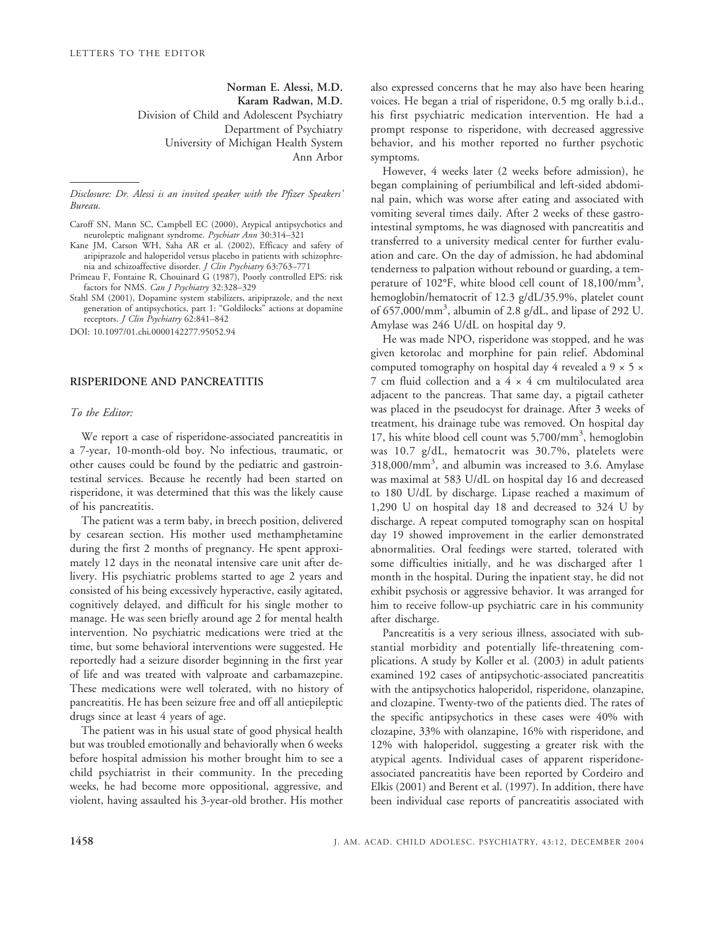**Norman E. Alessi, M.D. Karam Radwan, M.D.** Division of Child and Adolescent Psychiatry Department of Psychiatry University of Michigan Health System Ann Arbor

*Disclosure: Dr. Alessi is an invited speaker with the Pfizer Speakers' Bureau.*

- Kane JM, Carson WH, Saha AR et al. (2002), Efficacy and safety of aripiprazole and haloperidol versus placebo in patients with schizophrenia and schizoaffective disorder. *J Clin Psychiatry* 63:763–771
- Primeau F, Fontaine R, Chouinard G (1987), Poorly controlled EPS: risk factors for NMS. *Can J Psychiatry* 32:328–329
- Stahl SM (2001), Dopamine system stabilizers, aripiprazole, and the next generation of antipsychotics, part 1: "Goldilocks" actions at dopamine receptors. *J Clin Psychiatry* 62:841–842

DOI: 10.1097/01.chi.0000142277.95052.94

## **RISPERIDONE AND PANCREATITIS**

## *To the Editor:*

We report a case of risperidone-associated pancreatitis in a 7-year, 10-month-old boy. No infectious, traumatic, or other causes could be found by the pediatric and gastrointestinal services. Because he recently had been started on risperidone, it was determined that this was the likely cause of his pancreatitis.

The patient was a term baby, in breech position, delivered by cesarean section. His mother used methamphetamine during the first 2 months of pregnancy. He spent approximately 12 days in the neonatal intensive care unit after delivery. His psychiatric problems started to age 2 years and consisted of his being excessively hyperactive, easily agitated, cognitively delayed, and difficult for his single mother to manage. He was seen briefly around age 2 for mental health intervention. No psychiatric medications were tried at the time, but some behavioral interventions were suggested. He reportedly had a seizure disorder beginning in the first year of life and was treated with valproate and carbamazepine. These medications were well tolerated, with no history of pancreatitis. He has been seizure free and off all antiepileptic drugs since at least 4 years of age.

The patient was in his usual state of good physical health but was troubled emotionally and behaviorally when 6 weeks before hospital admission his mother brought him to see a child psychiatrist in their community. In the preceding weeks, he had become more oppositional, aggressive, and violent, having assaulted his 3-year-old brother. His mother

also expressed concerns that he may also have been hearing voices. He began a trial of risperidone, 0.5 mg orally b.i.d., his first psychiatric medication intervention. He had a prompt response to risperidone, with decreased aggressive behavior, and his mother reported no further psychotic symptoms.

However, 4 weeks later (2 weeks before admission), he began complaining of periumbilical and left-sided abdominal pain, which was worse after eating and associated with vomiting several times daily. After 2 weeks of these gastrointestinal symptoms, he was diagnosed with pancreatitis and transferred to a university medical center for further evaluation and care. On the day of admission, he had abdominal tenderness to palpation without rebound or guarding, a temperature of 102°F, white blood cell count of 18,100/mm<sup>3</sup>, hemoglobin/hematocrit of 12.3 g/dL/35.9%, platelet count of 657,000/mm<sup>3</sup> , albumin of 2.8 g/dL, and lipase of 292 U. Amylase was 246 U/dL on hospital day 9.

He was made NPO, risperidone was stopped, and he was given ketorolac and morphine for pain relief. Abdominal computed tomography on hospital day 4 revealed a 9 × 5 × 7 cm fluid collection and a  $4 \times 4$  cm multiloculated area adjacent to the pancreas. That same day, a pigtail catheter was placed in the pseudocyst for drainage. After 3 weeks of treatment, his drainage tube was removed. On hospital day 17, his white blood cell count was 5,700/mm<sup>3</sup>, hemoglobin was 10.7 g/dL, hematocrit was 30.7%, platelets were 318,000/mm3 , and albumin was increased to 3.6. Amylase was maximal at 583 U/dL on hospital day 16 and decreased to 180 U/dL by discharge. Lipase reached a maximum of 1,290 U on hospital day 18 and decreased to 324 U by discharge. A repeat computed tomography scan on hospital day 19 showed improvement in the earlier demonstrated abnormalities. Oral feedings were started, tolerated with some difficulties initially, and he was discharged after 1 month in the hospital. During the inpatient stay, he did not exhibit psychosis or aggressive behavior. It was arranged for him to receive follow-up psychiatric care in his community after discharge.

Pancreatitis is a very serious illness, associated with substantial morbidity and potentially life-threatening complications. A study by Koller et al. (2003) in adult patients examined 192 cases of antipsychotic-associated pancreatitis with the antipsychotics haloperidol, risperidone, olanzapine, and clozapine. Twenty-two of the patients died. The rates of the specific antipsychotics in these cases were 40% with clozapine, 33% with olanzapine, 16% with risperidone, and 12% with haloperidol, suggesting a greater risk with the atypical agents. Individual cases of apparent risperidoneassociated pancreatitis have been reported by Cordeiro and Elkis (2001) and Berent et al. (1997). In addition, there have been individual case reports of pancreatitis associated with

Caroff SN, Mann SC, Campbell EC (2000), Atypical antipsychotics and neuroleptic malignant syndrome. *Psychiatr Ann* 30:314–321